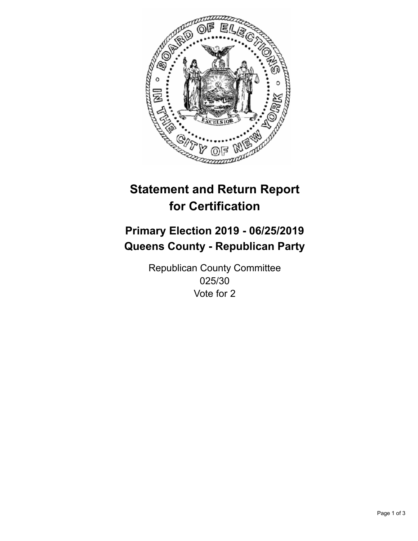

## **Statement and Return Report for Certification**

## **Primary Election 2019 - 06/25/2019 Queens County - Republican Party**

Republican County Committee 025/30 Vote for 2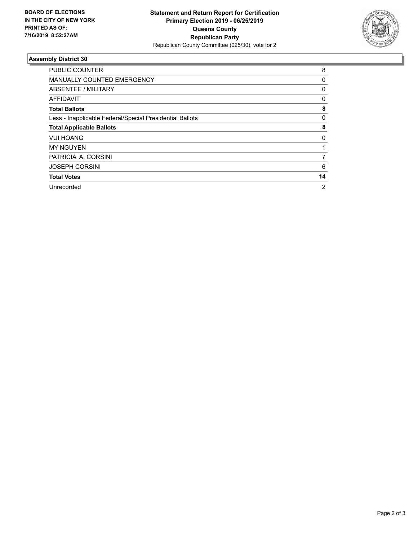

## **Assembly District 30**

| <b>PUBLIC COUNTER</b>                                    | 8            |
|----------------------------------------------------------|--------------|
| <b>MANUALLY COUNTED EMERGENCY</b>                        | 0            |
| ABSENTEE / MILITARY                                      | $\mathbf{0}$ |
| AFFIDAVIT                                                | 0            |
| <b>Total Ballots</b>                                     | 8            |
| Less - Inapplicable Federal/Special Presidential Ballots | 0            |
| <b>Total Applicable Ballots</b>                          | 8            |
| <b>VUI HOANG</b>                                         | 0            |
| <b>MY NGUYEN</b>                                         |              |
| PATRICIA A. CORSINI                                      | 7            |
| <b>JOSEPH CORSINI</b>                                    | 6            |
| <b>Total Votes</b>                                       | 14           |
| Unrecorded                                               | 2            |